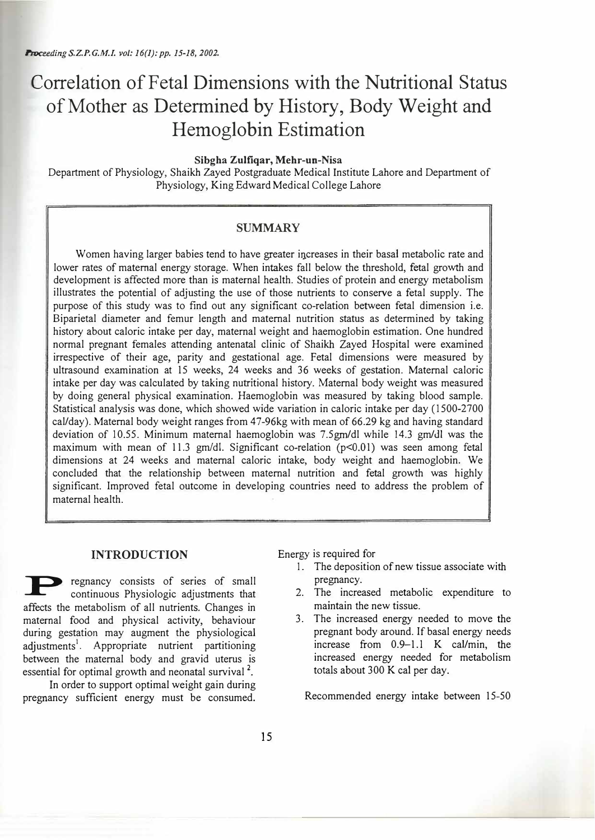# **Correlation of Petal Dimensions with the Nutritional Status of Mother as Determined by History, Body Weight and Hemoglobin Estimation**

**Sibgha Zulfiqar, Mehr-un-Nisa** 

Department of Physiology, Shaikh Zayed Postgraduate Medical Institute Lahore and Department of Physiology, King Edward Medical College Lahore

# **SUMMARY**

Women having larger babies tend to have greater increases in their basal metabolic rate and lower rates of maternal energy storage. When intakes fall below the threshold, fetal growth and development is affected more than is maternal health. Studies of protein and energy metabolism illustrates the potential of adjusting the use of those nutrients to conserve a fetal supply. The purpose of this study was to find out any significant co-relation between fetal dimension i.e. Biparietal diameter and femur length and maternal nutrition status as determined by taking history about caloric intake per day, maternal weight and haemoglobin estimation. One hundred normal pregnant females attending antenatal clinic of Shaikh Zayed Hospital were examined irrespective of their age, parity and gestational age. Fetal dimensions were measured by ultrasound examination at 15 weeks, 24 weeks and 36 weeks of gestation. Maternal caloric intake per day was calculated by taking nutritional history. Maternal body weight was measured by doing general physical examination. Haemoglobin was measured by taking blood sample. Statistical analysis was done, which showed wide variation in caloric intake per day (1500-2700 cal/day). Maternal body weight ranges from 47-96kg with mean of 66.29 kg and having standard deviation of 10.55. Minimum maternal haemoglobin was 7.5gm/dl while 14.3 gm/JI was the maximum with mean of 11.3 gm/dl. Significant co-relation ( $p<0.01$ ) was seen among fetal dimensions at 24 weeks and maternal caloric intake, body weight and haemoglobin. We concluded that the relationship between maternal nutrition and fetal growth was highly significant. Improved fetal outcome in developing countries need to address the problem of maternal health.

## **INTRODUCTION**

regnancy consists of series of small continuous Physiologic adjustments that affects the metabolism of all nutrients. Changes in maternal food and physical activity, behaviour during gestation may augment the physiological adjustments<sup>1</sup>. Appropriate nutrient partitioning between the maternal body and gravid uterus is essential for optimal growth and neonatal survival<sup>2</sup>.

In order to support optimal weight gain during pregnancy sufficient energy must be consumed. Ener<sup>g</sup>y is required for

- 1. The deposition of new tissue associate with pregnancy.
- 2. The increased metabolic expenditure to maintain the new tissue.
- 3. The increased energy needed to move the pregnant body around. If basal energy needs increase from 0.9-1.1 K cal/min, the increased energy needed for metabolism totals about 300 K cal per day.

Recommended energy intake between 15-50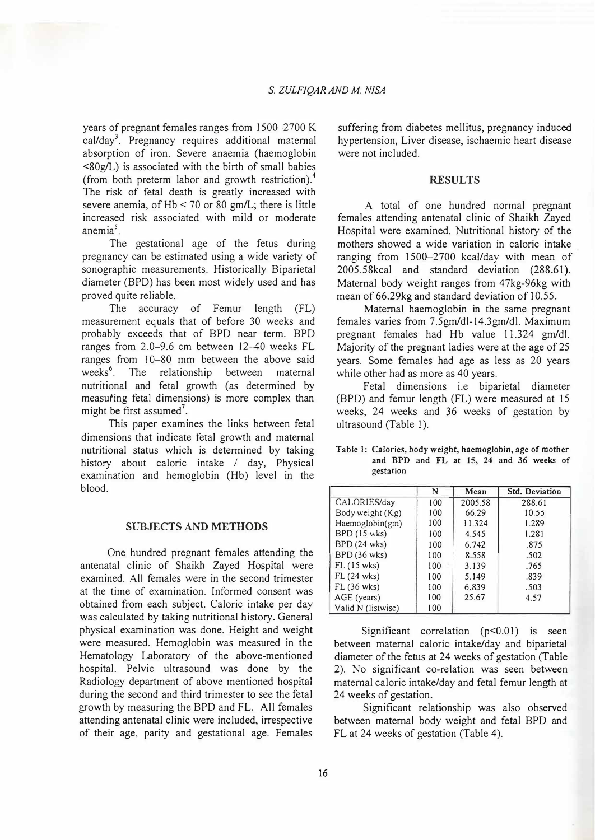years of pregnant females ranges from  $1500-2700$  K cal/day<sup>3</sup>. Pregnancy requires additional maternal absorption of iron. Severe anaemia (haemoglobin  $\langle 80g/L \rangle$  is associated with the birth of small babies (from both preterm labor and growth restriction).<sup>4</sup> The risk of fetal death is greatly increased with severe anemia, of  $Hb < 70$  or 80 gm/L; there is little increased risk associated with mild or moderate anemia $<sup>5</sup>$ .</sup>

The gestational age of the fetus during pregnancy can be estimated using a wide variety of sonographic measurements. Historically Biparietal diameter (BPD) has been most widely used and has proved quite reliable.

The accuracy of Femur length (FL) measurement equals that of before 30 weeks and probably exceeds that of BPD near term. BPD ranges from 2.0-9.6 cm between 12-40 weeks FL ranges from 10-80 mm between the above said weeks<sup>6</sup>. The relationship between maternal nutritional and fetal growth (as determined by measufing fetal dimensions) is more complex than might be first assumed<sup>7</sup>.

This paper examines the links between fetal dimensions that indicate fetal growth and maternal nutritional status which is determined by taking history about caloric intake *I* day, Physical examination and hemoglobin (Hb) level in the blood.

#### **SUBJECTS AND METHODS**

One hundred pregnant females attending the antenatal clinic of Shaikh Zayed Hospital were examined. All females were in the second trimester at the time of examination. Informed consent was obtained from each subject. Caloric intake per day was calculated by taking nutritional history. General physical examination was done. Height and weight were measured. Hemoglobin was measured in the Hematology Laboratory of the above-mentioned hospital. Pelvic ultrasound was done by the Radiology department of above mentioned hospital during the second and third trimester to see the fetal growth by measuring the BPD and FL. All females attending antenatal clinic were included, irrespective of their age, parity and gestational age. Females

suffering from diabetes mellitus, pregnancy induced hypertension, Liver disease, ischaemic heart disease were not included.

## **RESULTS**

A total of one hundred normal pregnant females attending antenatal clinic of Shaikh Zayed Hospital were examined. Nutritional history of the mothers showed a wide variation in caloric intake ranging from 1500--2700 kcal/day with mean of 2005.58kcal and standard deviation (288.61). Maternal body weight ranges from 47kg-96kg with mean of 66.29kg and standard deviation of 10.55.

Maternal haemoglobin in the same pregnant females varies from 7.5gm/dl-14.3gm/dl. Maximum pregnant females had Hb value 11.324 gm/di. Majority of the pregnant ladies were at the age of 25 years. Some females had age as less as 20 years while other had as more as 40 years.

Fetal dimensions i.e biparietal diameter (BPD) and femur length (FL) were measured at 15 weeks, 24 weeks and 36 weeks of gestation by ultrasound (Table I).

Table I: Calories, body weight, haemoglobin, age of mother and BPD and FL at 15, 24 and 36 weeks of gestation

|                     | N   | Mean    | Std. Deviation |
|---------------------|-----|---------|----------------|
| CALORIES/day        | 100 | 2005.58 | 288.61         |
| Body weight (Kg)    | 100 | 66.29   | 10.55          |
| Haemoglobin(gm)     | 100 | 11.324  | 1.289          |
| BPD (15 wks)        | 100 | 4.545   | 1.281          |
| <b>BPD</b> (24 wks) | 100 | 6.742   | .875           |
| BPD (36 wks)        | 100 | 8.558   | .502           |
| $FL(15$ wks)        | 100 | 3.139   | .765           |
| $FL(24$ wks)        | 100 | 5.149   | .839           |
| $FL(36$ wks)        | 100 | 6.839   | .503           |
| AGE (years)         | 100 | 25.67   | 4.57           |
| Valid N (listwise)  | 100 |         |                |

Significant correlation  $(p<0.01)$  is seen between maternal caloric intake/day and biparietal diameter of the fetus at 24 weeks of gestation (Table 2). No significant co-relation was seen between maternal caloric intake/day and fetal femur length at 24 weeks of gestation.

Significant relationship was also observed between maternal body weight and fetal BPD and FL at 24 weeks of gestation (Table 4).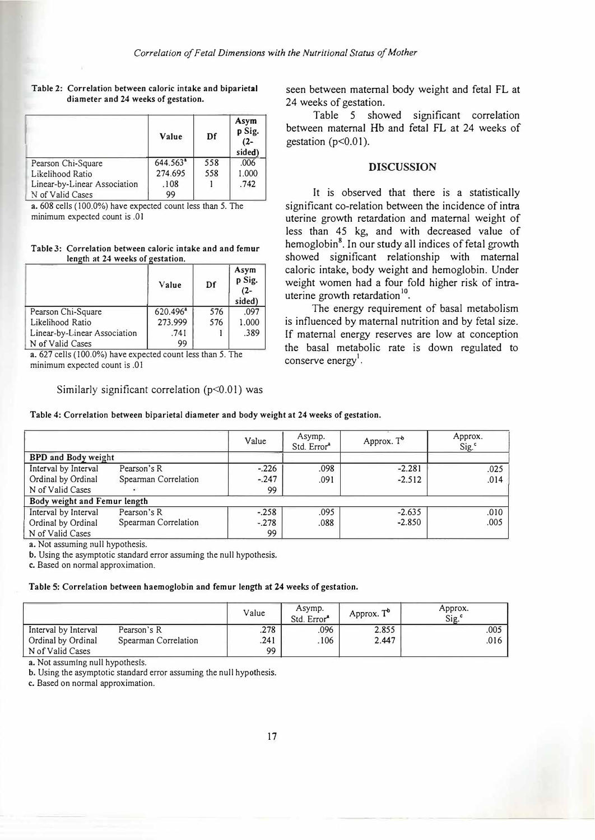|                              | Value                | Df  | Asym<br>p Sig.<br>$(2 - )$<br>sided) |
|------------------------------|----------------------|-----|--------------------------------------|
| Pearson Chi-Square           | 644.563 <sup>ª</sup> | 558 | .006                                 |
| Likelihood Ratio             | 274.695              | 558 | 1.000                                |
| Linear-by-Linear Association | .108                 |     | .742                                 |
| N of Valid Cases             | 99                   |     |                                      |

#### Table 2: Correlation between caloric intake and biparietal diameter and 24 weeks of gestation.

a. 608 cells ( 100.0%) have expected count less than 5. The minimum expected count is .0 I

#### Table 3: Correlation between caloric intake and and femur length at 24 weeks of gestation.

|                              | Value                | Df  | Asym<br>p Sig.<br>$(2-$<br>sided) |
|------------------------------|----------------------|-----|-----------------------------------|
| Pearson Chi-Square           | 620.496 <sup>ª</sup> | 576 | .097                              |
| Likelihood Ratio             | 273.999              | 576 | 1.000                             |
| Linear-by-Linear Association | .741                 |     | .389                              |
| N of Valid Cases             | 99                   |     |                                   |

a. 627 cells (J00.0%) have expected count less than 5. The minimum expected count is .01

Similarly significant correlation  $(p<0.01)$  was

seen between maternal body weight and fetal FL at 24 weeks of gestation.

Table 5 showed significant correlation between maternal Hb and fetal FL at 24 weeks of gestation ( $p<0.01$ ).

## **DISCUSSION**

It is observed that there is a statistically significant co-relation between the incidence of intra uterine growth retardation and maternal weight of less than 45 kg, and with decreased value of hemoglobin**<sup>8</sup> •** In our study all indices of fetal growth showed significant relationship with maternal caloric intake, body weight and hemoglobin. Under weight women had a four fold higher risk of intrauterine growth retardation<sup>10</sup>.

The energy requirement of basal metabolism is influenced by maternal nutrition and by fetal size. If maternal energy reserves are low at conception the basal metabolic rate is down regulated to conserve energy<sup>1</sup>.

Table 4: Correlation between biparietal diameter and body weight at 24 weeks of gestation.

|                              |                      | Value   | Asymp.<br>Std. Error <sup>a</sup> | Approx. $T^b$ | Approx.<br>Sig. <sup>c</sup> |
|------------------------------|----------------------|---------|-----------------------------------|---------------|------------------------------|
| <b>BPD</b> and Body weight   |                      |         |                                   |               |                              |
| Interval by Interval         | Pearson's R          | $-.226$ | .098                              | $-2.281$      | .025                         |
| Ordinal by Ordinal           | Spearman Correlation | $-.247$ | .091                              | $-2.512$      | .014                         |
| N of Valid Cases             |                      | 99      |                                   |               |                              |
| Body weight and Femur length |                      |         |                                   |               |                              |
| Interval by Interval         | Pearson's R          | $-.258$ | .095                              | $-2.635$      | .010                         |
| Ordinal by Ordinal           | Spearman Correlation | $-.278$ | .088                              | $-2.850$      | .005                         |
| N of Valid Cases             |                      | 99      |                                   |               |                              |

a. Not assuming null hypothesis.

b. Using the asymptotic standard error assuming the null hypothesis.

c. Based on normal approximation.

Table 5: Correlation between haemoglobin and femur length at 24 weeks of gestation.

|                      |                      | Value | Asymp.<br>Std. Error <sup>a</sup> | Approx. T <sup>o</sup> | Approx.<br>Sig. <sup>c</sup> |
|----------------------|----------------------|-------|-----------------------------------|------------------------|------------------------------|
| Interval by Interval | Pearson's R          | .278  | .096                              | 2.855                  | .005                         |
| Ordinal by Ordinal   | Spearman Correlation | .241  | .106                              | 2.447                  | .016                         |
| N of Valid Cases     |                      | 99    |                                   |                        |                              |

a. Not assuming null hypothesis.

b. Using the asymptotic standard error assuming the null hypothesis.

c. Based on normal approximation.